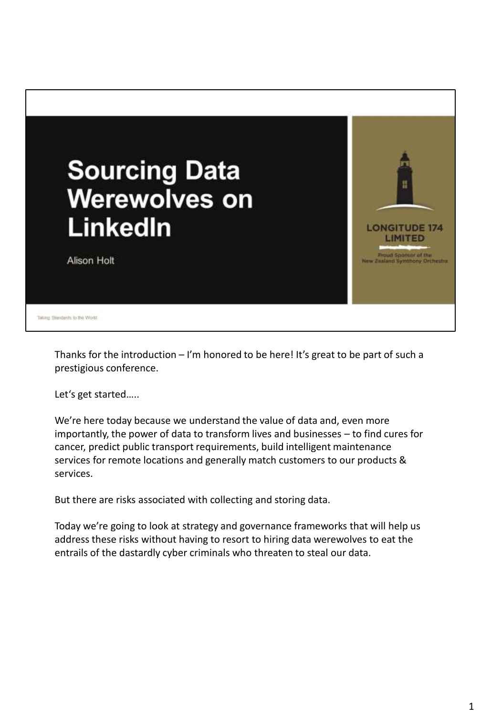

Thanks for the introduction  $-1$ 'm honored to be here! It's great to be part of such a prestigious conference.

Let's get started…..

We're here today because we understand the value of data and, even more importantly, the power of data to transform lives and businesses – to find cures for cancer, predict public transport requirements, build intelligent maintenance services for remote locations and generally match customers to our products & services.

But there are risks associated with collecting and storing data.

Today we're going to look at strategy and governance frameworks that will help us address these risks without having to resort to hiring data werewolves to eat the entrails of the dastardly cyber criminals who threaten to steal our data.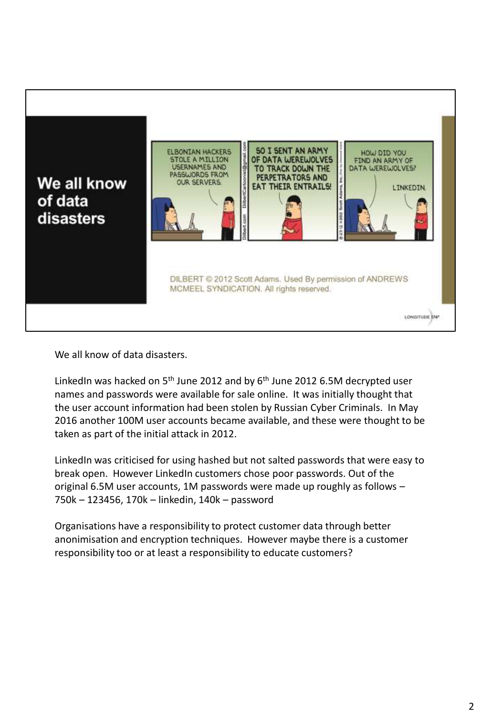

We all know of data disasters.

LinkedIn was hacked on  $5<sup>th</sup>$  June 2012 and by  $6<sup>th</sup>$  June 2012 6.5M decrypted user names and passwords were available for sale online. It was initially thought that the user account information had been stolen by Russian Cyber Criminals. In May 2016 another 100M user accounts became available, and these were thought to be taken as part of the initial attack in 2012.

LinkedIn was criticised for using hashed but not salted passwords that were easy to break open. However LinkedIn customers chose poor passwords. Out of the original 6.5M user accounts, 1M passwords were made up roughly as follows – 750k – 123456, 170k – linkedin, 140k – password

Organisations have a responsibility to protect customer data through better anonimisation and encryption techniques. However maybe there is a customer responsibility too or at least a responsibility to educate customers?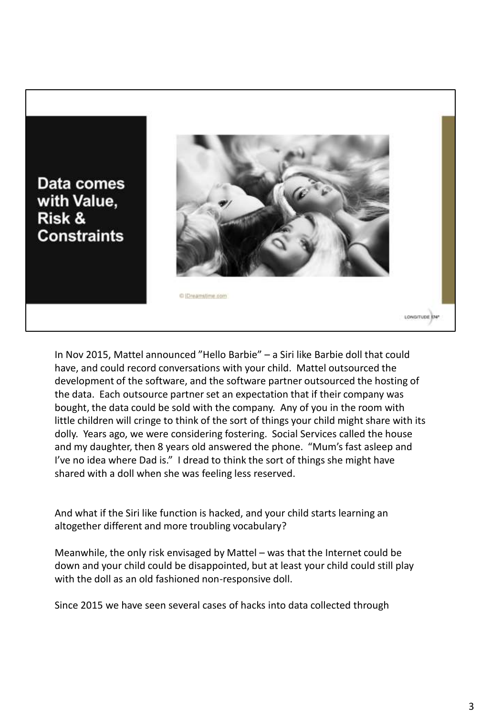Data comes with Value, Risk & **Constraints** 



In Nov 2015, Mattel announced "Hello Barbie" – a Siri like Barbie doll that could have, and could record conversations with your child. Mattel outsourced the development of the software, and the software partner outsourced the hosting of the data. Each outsource partner set an expectation that if their company was bought, the data could be sold with the company. Any of you in the room with little children will cringe to think of the sort of things your child might share with its dolly. Years ago, we were considering fostering. Social Services called the house and my daughter, then 8 years old answered the phone. "Mum's fast asleep and I've no idea where Dad is." I dread to think the sort of things she might have shared with a doll when she was feeling less reserved.

And what if the Siri like function is hacked, and your child starts learning an altogether different and more troubling vocabulary?

Meanwhile, the only risk envisaged by Mattel – was that the Internet could be down and your child could be disappointed, but at least your child could still play with the doll as an old fashioned non-responsive doll.

Since 2015 we have seen several cases of hacks into data collected through

LONGITUDE 174\*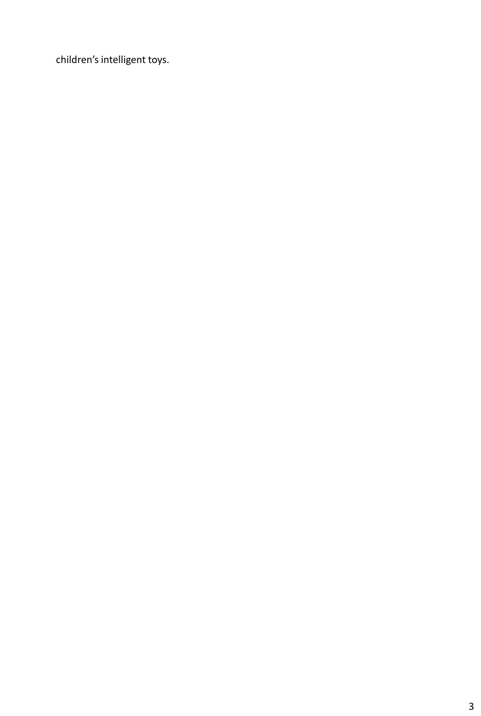children's intelligent toys.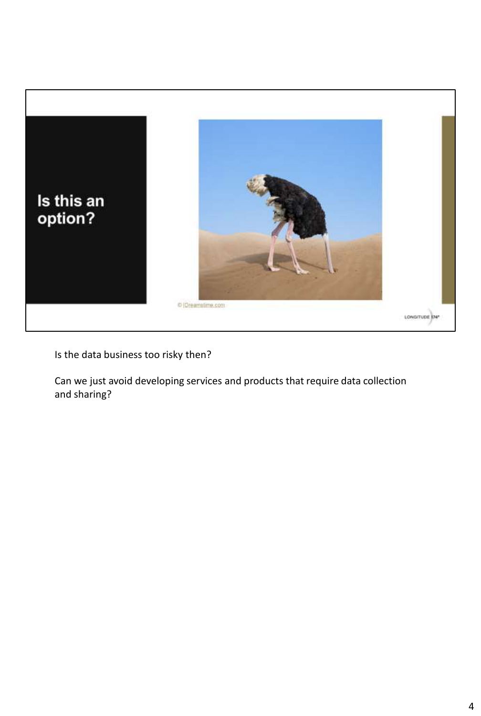

Is the data business too risky then?

Can we just avoid developing services and products that require data collection and sharing?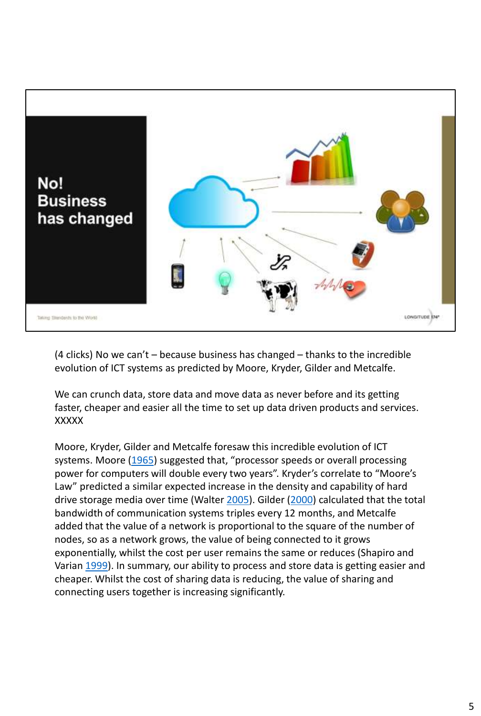

(4 clicks) No we can't – because business has changed – thanks to the incredible evolution of ICT systems as predicted by Moore, Kryder, Gilder and Metcalfe.

We can crunch data, store data and move data as never before and its getting faster, cheaper and easier all the time to set up data driven products and services. XXXXX

Moore, Kryder, Gilder and Metcalfe foresaw this incredible evolution of ICT systems. Moore ([1965](http://link.springer.com/article/10.1007/s13347-016-0236-0?wt_mc=Internal.Event.1.SEM.ArticleAuthorAssignedToIssue#CR2)) suggested that, "processor speeds or overall processing power for computers will double every two years". Kryder's correlate to "Moore's Law" predicted a similar expected increase in the density and capability of hard drive storage media over time (Walter [2005\)](http://link.springer.com/article/10.1007/s13347-016-0236-0?wt_mc=Internal.Event.1.SEM.ArticleAuthorAssignedToIssue#CR4). Gilder [\(2000\)](http://link.springer.com/article/10.1007/s13347-016-0236-0?wt_mc=Internal.Event.1.SEM.ArticleAuthorAssignedToIssue#CR1) calculated that the total bandwidth of communication systems triples every 12 months, and Metcalfe added that the value of a network is proportional to the square of the number of nodes, so as a network grows, the value of being connected to it grows exponentially, whilst the cost per user remains the same or reduces (Shapiro and Varian [1999\)](http://link.springer.com/article/10.1007/s13347-016-0236-0?wt_mc=Internal.Event.1.SEM.ArticleAuthorAssignedToIssue#CR3). In summary, our ability to process and store data is getting easier and cheaper. Whilst the cost of sharing data is reducing, the value of sharing and connecting users together is increasing significantly.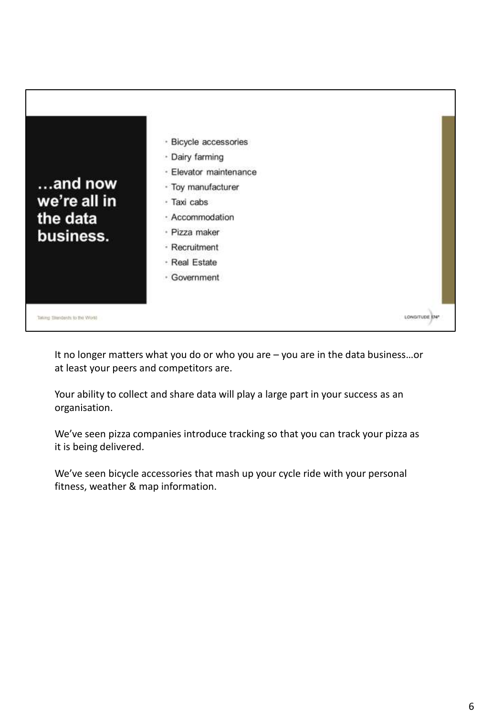

It no longer matters what you do or who you are – you are in the data business…or at least your peers and competitors are.

Your ability to collect and share data will play a large part in your success as an organisation.

We've seen pizza companies introduce tracking so that you can track your pizza as it is being delivered.

We've seen bicycle accessories that mash up your cycle ride with your personal fitness, weather & map information.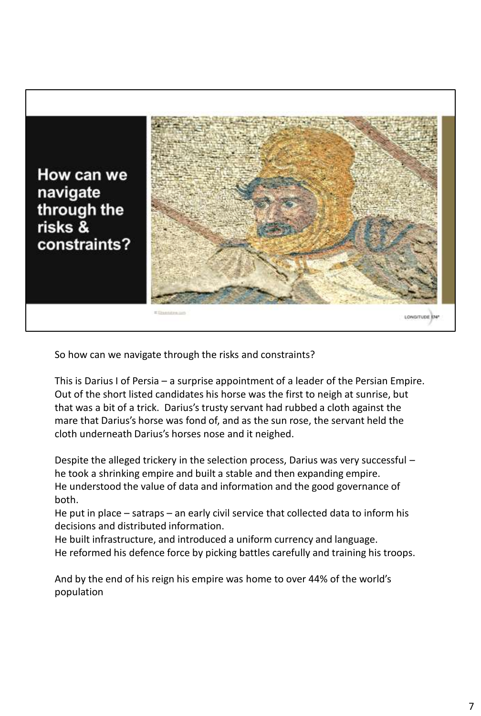

So how can we navigate through the risks and constraints?

This is Darius I of Persia – a surprise appointment of a leader of the Persian Empire. Out of the short listed candidates his horse was the first to neigh at sunrise, but that was a bit of a trick. Darius's trusty servant had rubbed a cloth against the mare that Darius's horse was fond of, and as the sun rose, the servant held the cloth underneath Darius's horses nose and it neighed.

Despite the alleged trickery in the selection process, Darius was very successful – he took a shrinking empire and built a stable and then expanding empire. He understood the value of data and information and the good governance of both.

He put in place – satraps – an early civil service that collected data to inform his decisions and distributed information.

He built infrastructure, and introduced a uniform currency and language. He reformed his defence force by picking battles carefully and training his troops.

And by the end of his reign his empire was home to over 44% of the world's population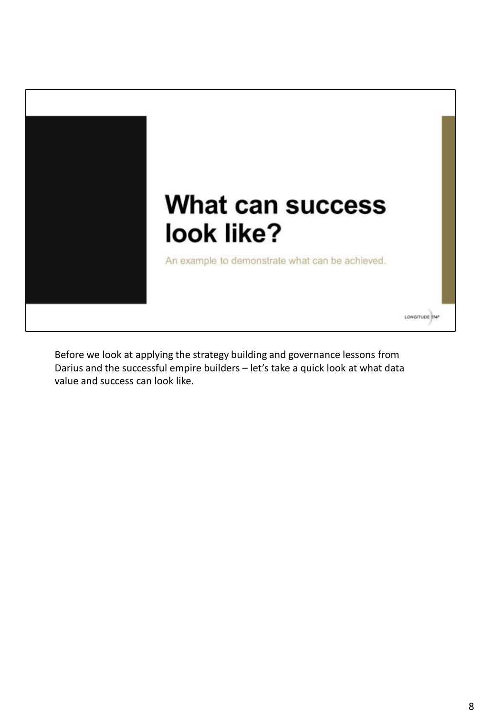

Before we look at applying the strategy building and governance lessons from Darius and the successful empire builders – let's take a quick look at what data value and success can look like.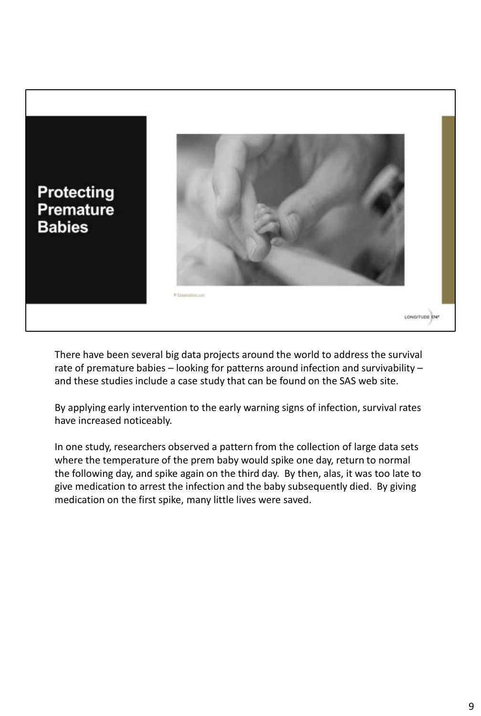

There have been several big data projects around the world to address the survival rate of premature babies – looking for patterns around infection and survivability – and these studies include a case study that can be found on the SAS web site.

By applying early intervention to the early warning signs of infection, survival rates have increased noticeably.

In one study, researchers observed a pattern from the collection of large data sets where the temperature of the prem baby would spike one day, return to normal the following day, and spike again on the third day. By then, alas, it was too late to give medication to arrest the infection and the baby subsequently died. By giving medication on the first spike, many little lives were saved.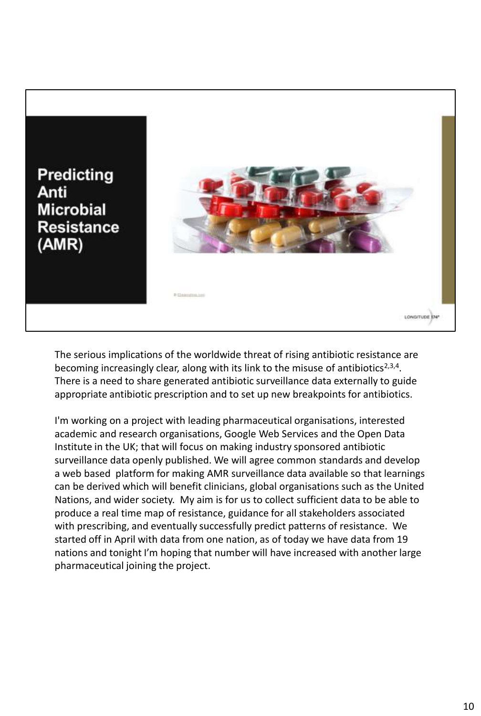

The serious implications of the worldwide threat of rising antibiotic resistance are becoming increasingly clear, along with its link to the misuse of antibiotics<sup>2,3,4</sup>. There is a need to share generated antibiotic surveillance data externally to guide appropriate antibiotic prescription and to set up new breakpoints for antibiotics.

I'm working on a project with leading pharmaceutical organisations, interested academic and research organisations, Google Web Services and the Open Data Institute in the UK; that will focus on making industry sponsored antibiotic surveillance data openly published. We will agree common standards and develop a web based platform for making AMR surveillance data available so that learnings can be derived which will benefit clinicians, global organisations such as the United Nations, and wider society. My aim is for us to collect sufficient data to be able to produce a real time map of resistance, guidance for all stakeholders associated with prescribing, and eventually successfully predict patterns of resistance. We started off in April with data from one nation, as of today we have data from 19 nations and tonight I'm hoping that number will have increased with another large pharmaceutical joining the project.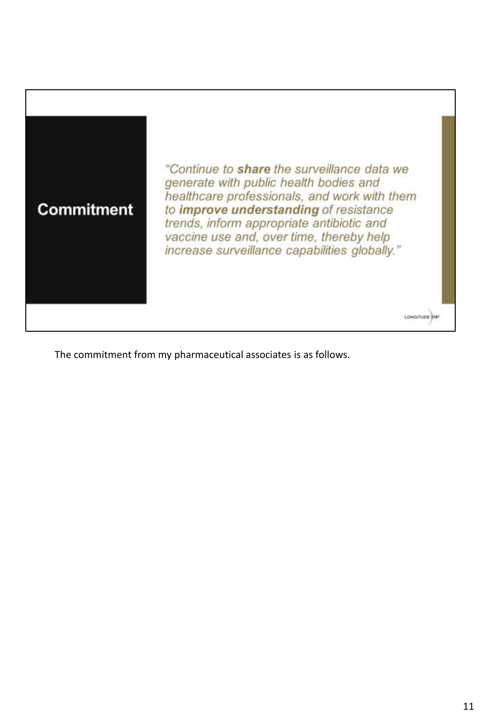

The commitment from my pharmaceutical associates is as follows.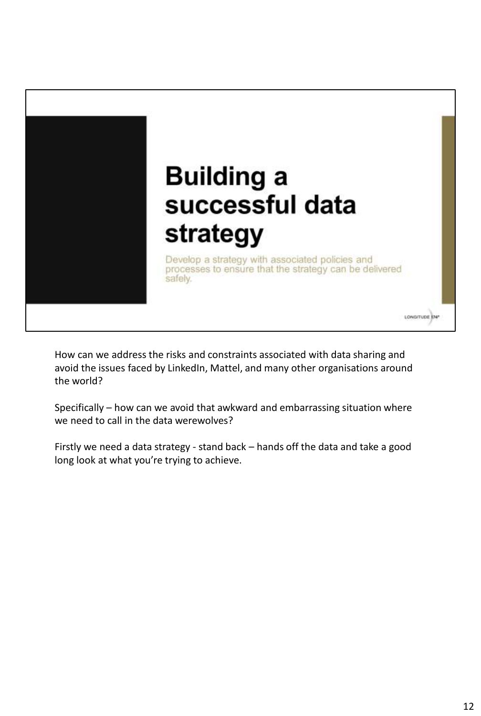

How can we address the risks and constraints associated with data sharing and avoid the issues faced by LinkedIn, Mattel, and many other organisations around the world?

Specifically – how can we avoid that awkward and embarrassing situation where we need to call in the data werewolves?

Firstly we need a data strategy - stand back – hands off the data and take a good long look at what you're trying to achieve.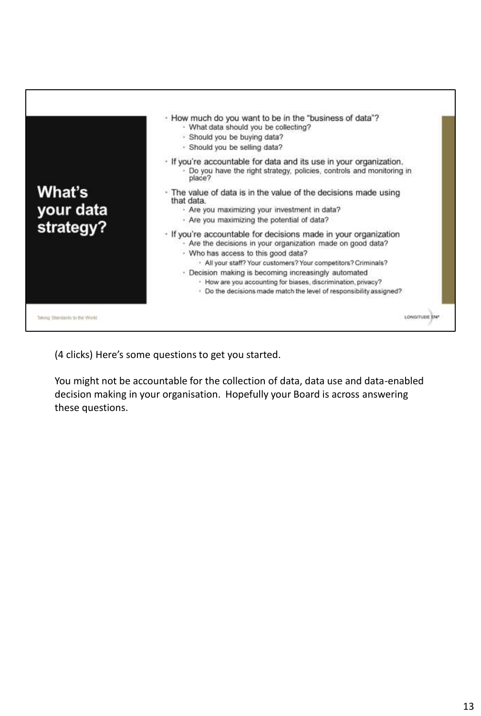

(4 clicks) Here's some questions to get you started.

You might not be accountable for the collection of data, data use and data-enabled decision making in your organisation. Hopefully your Board is across answering these questions.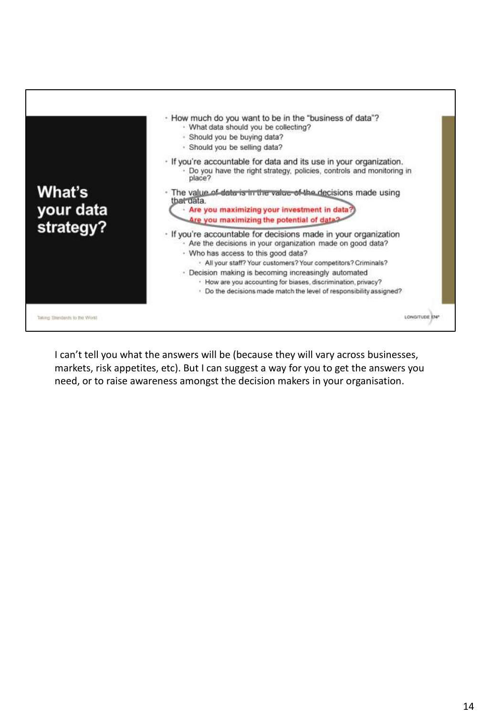

I can't tell you what the answers will be (because they will vary across businesses, markets, risk appetites, etc). But I can suggest a way for you to get the answers you need, or to raise awareness amongst the decision makers in your organisation.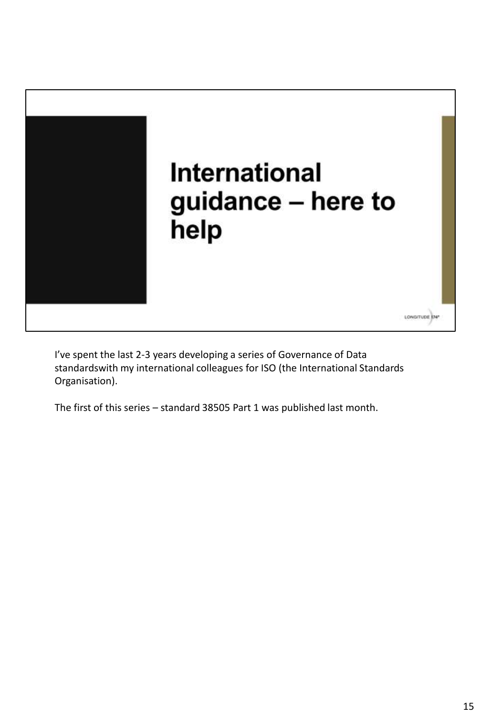

I've spent the last 2-3 years developing a series of Governance of Data standardswith my international colleagues for ISO (the International Standards Organisation).

The first of this series – standard 38505 Part 1 was published last month.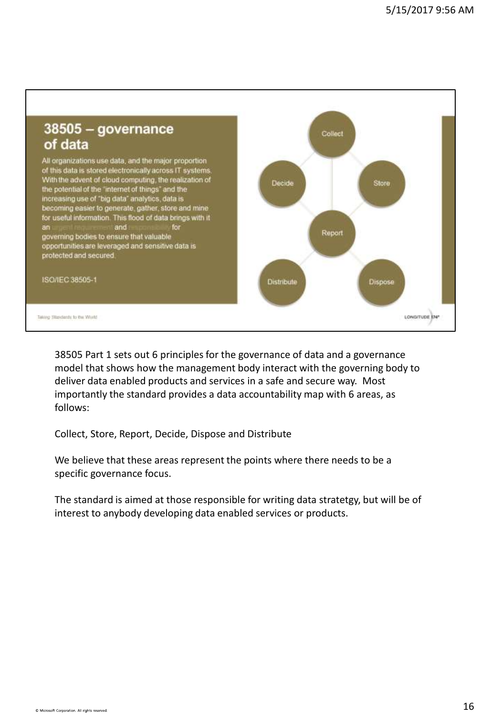

38505 Part 1 sets out 6 principles for the governance of data and a governance model that shows how the management body interact with the governing body to deliver data enabled products and services in a safe and secure way. Most importantly the standard provides a data accountability map with 6 areas, as follows:

Collect, Store, Report, Decide, Dispose and Distribute

We believe that these areas represent the points where there needs to be a specific governance focus.

The standard is aimed at those responsible for writing data stratetgy, but will be of interest to anybody developing data enabled services or products.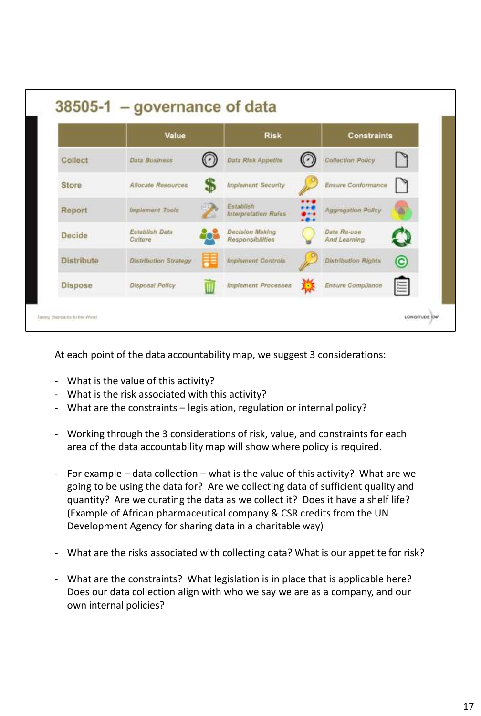| Collect    | Value                        |   | <b>Risk</b>                         |               | <b>Constraints</b>          |   |
|------------|------------------------------|---|-------------------------------------|---------------|-----------------------------|---|
|            | <b>Data Business</b>         |   | Data Risk Appetite                  |               | <b>Collection Policy</b>    |   |
| Store      | <b>Allocate Resources</b>    |   | <b>Implement Security</b>           |               | Ensure Conformance          |   |
| Report     | <i>Implement</i> Tools       |   | Establish<br>Interpretation Rules   | .<br>$-2 - 1$ | Aggregation Policy          |   |
| Decide     | Establish Data<br>Culture    |   | Decision Making<br>Responsibilities |               | Data Re-use<br>And Learning |   |
| Distribute | <b>Distribution Strategy</b> |   | <b>Implement Controls</b>           |               | <b>Distribution Rights</b>  | © |
| Dispose    | <b>Disposal Policy</b>       | ₩ | <b>Implement Processes</b>          |               | Ensure Compliance           | 這 |

At each point of the data accountability map, we suggest 3 considerations:

- What is the value of this activity?
- What is the risk associated with this activity?
- What are the constraints legislation, regulation or internal policy?
- Working through the 3 considerations of risk, value, and constraints for each area of the data accountability map will show where policy is required.
- For example data collection what is the value of this activity? What are we going to be using the data for? Are we collecting data of sufficient quality and quantity? Are we curating the data as we collect it? Does it have a shelf life? (Example of African pharmaceutical company & CSR credits from the UN Development Agency for sharing data in a charitable way)
- What are the risks associated with collecting data? What is our appetite for risk?
- What are the constraints? What legislation is in place that is applicable here? Does our data collection align with who we say we are as a company, and our own internal policies?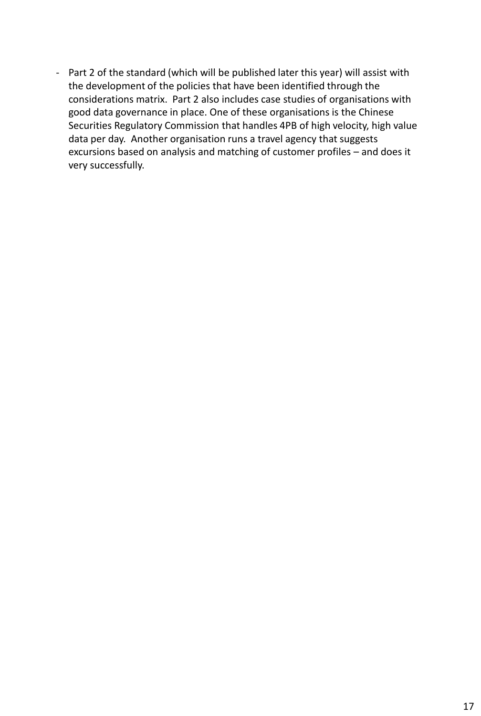- Part 2 of the standard (which will be published later this year) will assist with the development of the policies that have been identified through the considerations matrix. Part 2 also includes case studies of organisations with good data governance in place. One of these organisations is the Chinese Securities Regulatory Commission that handles 4PB of high velocity, high value data per day. Another organisation runs a travel agency that suggests excursions based on analysis and matching of customer profiles – and does it very successfully.